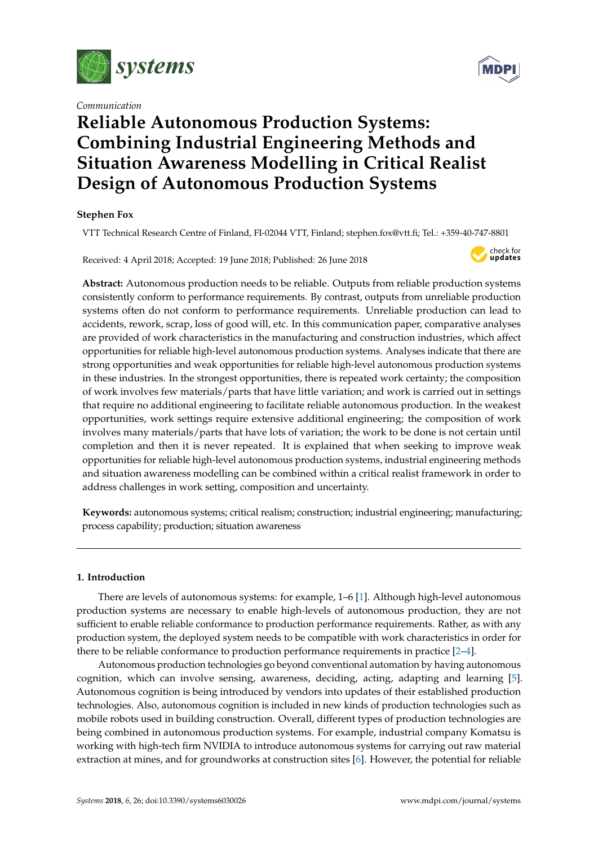

*Communication*



# **Reliable Autonomous Production Systems: Combining Industrial Engineering Methods and Situation Awareness Modelling in Critical Realist Design of Autonomous Production Systems**

# **Stephen Fox**

VTT Technical Research Centre of Finland, FI-02044 VTT, Finland; stephen.fox@vtt.fi; Tel.: +359-40-747-8801

Received: 4 April 2018; Accepted: 19 June 2018; Published: 26 June 2018



**Abstract:** Autonomous production needs to be reliable. Outputs from reliable production systems consistently conform to performance requirements. By contrast, outputs from unreliable production systems often do not conform to performance requirements. Unreliable production can lead to accidents, rework, scrap, loss of good will, etc. In this communication paper, comparative analyses are provided of work characteristics in the manufacturing and construction industries, which affect opportunities for reliable high-level autonomous production systems. Analyses indicate that there are strong opportunities and weak opportunities for reliable high-level autonomous production systems in these industries. In the strongest opportunities, there is repeated work certainty; the composition of work involves few materials/parts that have little variation; and work is carried out in settings that require no additional engineering to facilitate reliable autonomous production. In the weakest opportunities, work settings require extensive additional engineering; the composition of work involves many materials/parts that have lots of variation; the work to be done is not certain until completion and then it is never repeated. It is explained that when seeking to improve weak opportunities for reliable high-level autonomous production systems, industrial engineering methods and situation awareness modelling can be combined within a critical realist framework in order to address challenges in work setting, composition and uncertainty.

**Keywords:** autonomous systems; critical realism; construction; industrial engineering; manufacturing; process capability; production; situation awareness

# **1. Introduction**

There are levels of autonomous systems: for example, 1–6 [\[1\]](#page-12-0). Although high-level autonomous production systems are necessary to enable high-levels of autonomous production, they are not sufficient to enable reliable conformance to production performance requirements. Rather, as with any production system, the deployed system needs to be compatible with work characteristics in order for there to be reliable conformance to production performance requirements in practice [\[2–](#page-12-1)[4\]](#page-12-2).

Autonomous production technologies go beyond conventional automation by having autonomous cognition, which can involve sensing, awareness, deciding, acting, adapting and learning [\[5\]](#page-12-3). Autonomous cognition is being introduced by vendors into updates of their established production technologies. Also, autonomous cognition is included in new kinds of production technologies such as mobile robots used in building construction. Overall, different types of production technologies are being combined in autonomous production systems. For example, industrial company Komatsu is working with high-tech firm NVIDIA to introduce autonomous systems for carrying out raw material extraction at mines, and for groundworks at construction sites [\[6\]](#page-12-4). However, the potential for reliable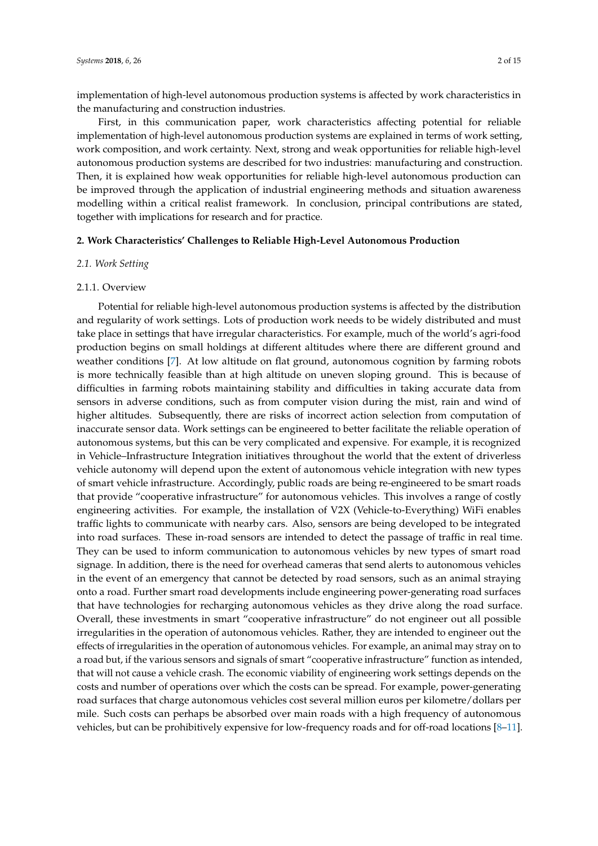implementation of high-level autonomous production systems is affected by work characteristics in the manufacturing and construction industries.

First, in this communication paper, work characteristics affecting potential for reliable implementation of high-level autonomous production systems are explained in terms of work setting, work composition, and work certainty. Next, strong and weak opportunities for reliable high-level autonomous production systems are described for two industries: manufacturing and construction. Then, it is explained how weak opportunities for reliable high-level autonomous production can be improved through the application of industrial engineering methods and situation awareness modelling within a critical realist framework. In conclusion, principal contributions are stated, together with implications for research and for practice.

# **2. Work Characteristics' Challenges to Reliable High-Level Autonomous Production**

#### *2.1. Work Setting*

#### 2.1.1. Overview

Potential for reliable high-level autonomous production systems is affected by the distribution and regularity of work settings. Lots of production work needs to be widely distributed and must take place in settings that have irregular characteristics. For example, much of the world's agri-food production begins on small holdings at different altitudes where there are different ground and weather conditions [\[7\]](#page-12-5). At low altitude on flat ground, autonomous cognition by farming robots is more technically feasible than at high altitude on uneven sloping ground. This is because of difficulties in farming robots maintaining stability and difficulties in taking accurate data from sensors in adverse conditions, such as from computer vision during the mist, rain and wind of higher altitudes. Subsequently, there are risks of incorrect action selection from computation of inaccurate sensor data. Work settings can be engineered to better facilitate the reliable operation of autonomous systems, but this can be very complicated and expensive. For example, it is recognized in Vehicle–Infrastructure Integration initiatives throughout the world that the extent of driverless vehicle autonomy will depend upon the extent of autonomous vehicle integration with new types of smart vehicle infrastructure. Accordingly, public roads are being re-engineered to be smart roads that provide "cooperative infrastructure" for autonomous vehicles. This involves a range of costly engineering activities. For example, the installation of V2X (Vehicle-to-Everything) WiFi enables traffic lights to communicate with nearby cars. Also, sensors are being developed to be integrated into road surfaces. These in-road sensors are intended to detect the passage of traffic in real time. They can be used to inform communication to autonomous vehicles by new types of smart road signage. In addition, there is the need for overhead cameras that send alerts to autonomous vehicles in the event of an emergency that cannot be detected by road sensors, such as an animal straying onto a road. Further smart road developments include engineering power-generating road surfaces that have technologies for recharging autonomous vehicles as they drive along the road surface. Overall, these investments in smart "cooperative infrastructure" do not engineer out all possible irregularities in the operation of autonomous vehicles. Rather, they are intended to engineer out the effects of irregularities in the operation of autonomous vehicles. For example, an animal may stray on to a road but, if the various sensors and signals of smart "cooperative infrastructure" function as intended, that will not cause a vehicle crash. The economic viability of engineering work settings depends on the costs and number of operations over which the costs can be spread. For example, power-generating road surfaces that charge autonomous vehicles cost several million euros per kilometre/dollars per mile. Such costs can perhaps be absorbed over main roads with a high frequency of autonomous vehicles, but can be prohibitively expensive for low-frequency roads and for off-road locations [\[8–](#page-12-6)[11\]](#page-12-7).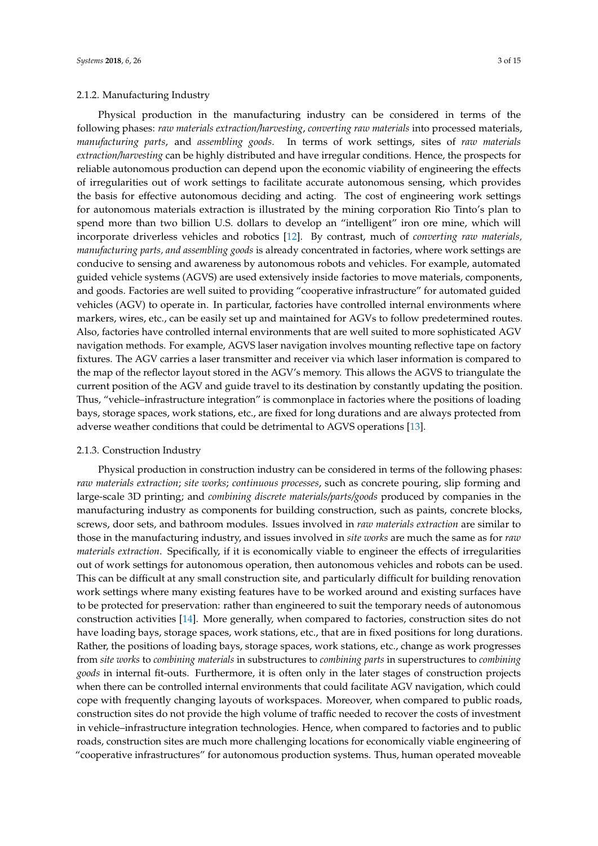Physical production in the manufacturing industry can be considered in terms of the following phases: *raw materials extraction/harvesting*, *converting raw materials* into processed materials, *manufacturing parts*, and *assembling goods*. In terms of work settings, sites of *raw materials extraction/harvesting* can be highly distributed and have irregular conditions. Hence, the prospects for reliable autonomous production can depend upon the economic viability of engineering the effects of irregularities out of work settings to facilitate accurate autonomous sensing, which provides the basis for effective autonomous deciding and acting. The cost of engineering work settings for autonomous materials extraction is illustrated by the mining corporation Rio Tinto's plan to spend more than two billion U.S. dollars to develop an "intelligent" iron ore mine, which will incorporate driverless vehicles and robotics [\[12\]](#page-12-8). By contrast, much of *converting raw materials, manufacturing parts, and assembling goods* is already concentrated in factories, where work settings are conducive to sensing and awareness by autonomous robots and vehicles. For example, automated guided vehicle systems (AGVS) are used extensively inside factories to move materials, components, and goods. Factories are well suited to providing "cooperative infrastructure" for automated guided vehicles (AGV) to operate in. In particular, factories have controlled internal environments where markers, wires, etc., can be easily set up and maintained for AGVs to follow predetermined routes. Also, factories have controlled internal environments that are well suited to more sophisticated AGV navigation methods. For example, AGVS laser navigation involves mounting reflective tape on factory fixtures. The AGV carries a laser transmitter and receiver via which laser information is compared to the map of the reflector layout stored in the AGV's memory. This allows the AGVS to triangulate the current position of the AGV and guide travel to its destination by constantly updating the position. Thus, "vehicle–infrastructure integration" is commonplace in factories where the positions of loading bays, storage spaces, work stations, etc., are fixed for long durations and are always protected from adverse weather conditions that could be detrimental to AGVS operations [\[13\]](#page-12-9).

#### 2.1.3. Construction Industry

Physical production in construction industry can be considered in terms of the following phases: *raw materials extraction*; *site works*; *continuous processes*, such as concrete pouring, slip forming and large-scale 3D printing; and *combining discrete materials/parts/goods* produced by companies in the manufacturing industry as components for building construction, such as paints, concrete blocks, screws, door sets, and bathroom modules. Issues involved in *raw materials extraction* are similar to those in the manufacturing industry, and issues involved in *site works* are much the same as for *raw materials extraction*. Specifically, if it is economically viable to engineer the effects of irregularities out of work settings for autonomous operation, then autonomous vehicles and robots can be used. This can be difficult at any small construction site, and particularly difficult for building renovation work settings where many existing features have to be worked around and existing surfaces have to be protected for preservation: rather than engineered to suit the temporary needs of autonomous construction activities [\[14\]](#page-12-10). More generally, when compared to factories, construction sites do not have loading bays, storage spaces, work stations, etc., that are in fixed positions for long durations. Rather, the positions of loading bays, storage spaces, work stations, etc., change as work progresses from *site works* to *combining materials* in substructures to *combining parts* in superstructures to *combining goods* in internal fit-outs. Furthermore, it is often only in the later stages of construction projects when there can be controlled internal environments that could facilitate AGV navigation, which could cope with frequently changing layouts of workspaces. Moreover, when compared to public roads, construction sites do not provide the high volume of traffic needed to recover the costs of investment in vehicle–infrastructure integration technologies. Hence, when compared to factories and to public roads, construction sites are much more challenging locations for economically viable engineering of "cooperative infrastructures" for autonomous production systems. Thus, human operated moveable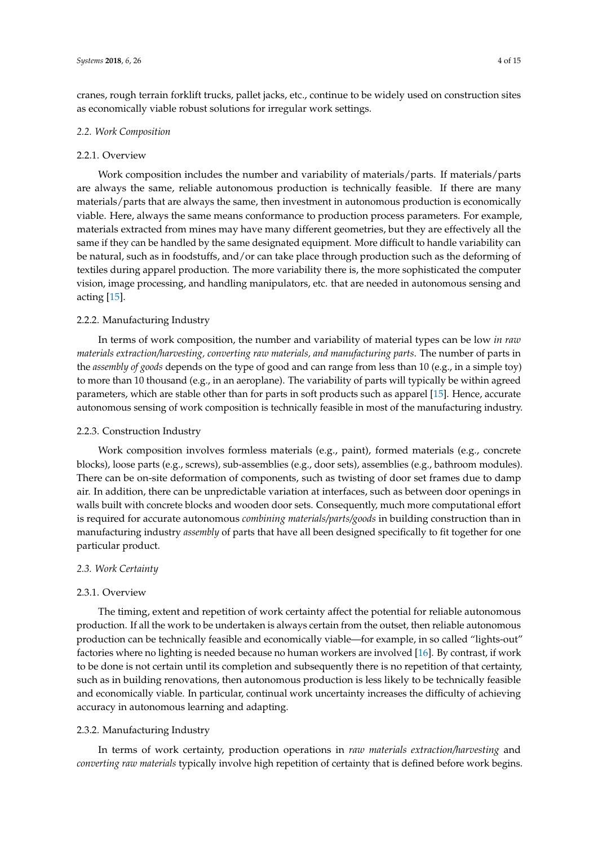cranes, rough terrain forklift trucks, pallet jacks, etc., continue to be widely used on construction sites as economically viable robust solutions for irregular work settings.

# *2.2. Work Composition*

# 2.2.1. Overview

Work composition includes the number and variability of materials/parts. If materials/parts are always the same, reliable autonomous production is technically feasible. If there are many materials/parts that are always the same, then investment in autonomous production is economically viable. Here, always the same means conformance to production process parameters. For example, materials extracted from mines may have many different geometries, but they are effectively all the same if they can be handled by the same designated equipment. More difficult to handle variability can be natural, such as in foodstuffs, and/or can take place through production such as the deforming of textiles during apparel production. The more variability there is, the more sophisticated the computer vision, image processing, and handling manipulators, etc. that are needed in autonomous sensing and acting [\[15\]](#page-12-11).

# 2.2.2. Manufacturing Industry

In terms of work composition, the number and variability of material types can be low *in raw materials extraction/harvesting, converting raw materials, and manufacturing parts*. The number of parts in the *assembly of goods* depends on the type of good and can range from less than 10 (e.g., in a simple toy) to more than 10 thousand (e.g., in an aeroplane). The variability of parts will typically be within agreed parameters, which are stable other than for parts in soft products such as apparel [\[15\]](#page-12-11). Hence, accurate autonomous sensing of work composition is technically feasible in most of the manufacturing industry.

#### 2.2.3. Construction Industry

Work composition involves formless materials (e.g., paint), formed materials (e.g., concrete blocks), loose parts (e.g., screws), sub-assemblies (e.g., door sets), assemblies (e.g., bathroom modules). There can be on-site deformation of components, such as twisting of door set frames due to damp air. In addition, there can be unpredictable variation at interfaces, such as between door openings in walls built with concrete blocks and wooden door sets. Consequently, much more computational effort is required for accurate autonomous *combining materials/parts/goods* in building construction than in manufacturing industry *assembly* of parts that have all been designed specifically to fit together for one particular product.

# *2.3. Work Certainty*

### 2.3.1. Overview

The timing, extent and repetition of work certainty affect the potential for reliable autonomous production. If all the work to be undertaken is always certain from the outset, then reliable autonomous production can be technically feasible and economically viable—for example, in so called "lights-out" factories where no lighting is needed because no human workers are involved [\[16\]](#page-12-12). By contrast, if work to be done is not certain until its completion and subsequently there is no repetition of that certainty, such as in building renovations, then autonomous production is less likely to be technically feasible and economically viable. In particular, continual work uncertainty increases the difficulty of achieving accuracy in autonomous learning and adapting.

# 2.3.2. Manufacturing Industry

In terms of work certainty, production operations in *raw materials extraction/harvesting* and *converting raw materials* typically involve high repetition of certainty that is defined before work begins.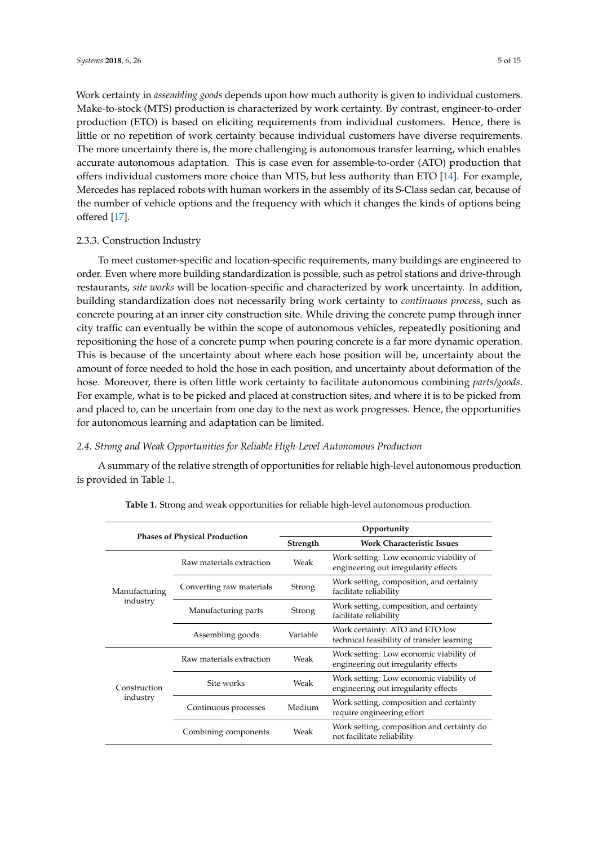Work certainty in *assembling goods* depends upon how much authority is given to individual customers. Make-to-stock (MTS) production is characterized by work certainty. By contrast, engineer-to-order production (ETO) is based on eliciting requirements from individual customers. Hence, there is little or no repetition of work certainty because individual customers have diverse requirements. The more uncertainty there is, the more challenging is autonomous transfer learning, which enables accurate autonomous adaptation. This is case even for assemble-to-order (ATO) production that offers individual customers more choice than MTS, but less authority than ETO [\[14\]](#page-12-10). For example, Mercedes has replaced robots with human workers in the assembly of its S-Class sedan car, because of the number of vehicle options and the frequency with which it changes the kinds of options being offered [\[17\]](#page-12-13).

# 2.3.3. Construction Industry

To meet customer-specific and location-specific requirements, many buildings are engineered to order. Even where more building standardization is possible, such as petrol stations and drive-through restaurants, *site works* will be location-specific and characterized by work uncertainty. In addition, building standardization does not necessarily bring work certainty to *continuous process*, such as concrete pouring at an inner city construction site. While driving the concrete pump through inner city traffic can eventually be within the scope of autonomous vehicles, repeatedly positioning and repositioning the hose of a concrete pump when pouring concrete is a far more dynamic operation. This is because of the uncertainty about where each hose position will be, uncertainty about the amount of force needed to hold the hose in each position, and uncertainty about deformation of the hose. Moreover, there is often little work certainty to facilitate autonomous combining *parts/goods*. For example, what is to be picked and placed at construction sites, and where it is to be picked from and placed to, can be uncertain from one day to the next as work progresses. Hence, the opportunities for autonomous learning and adaptation can be limited.

# *2.4. Strong and Weak Opportunities for Reliable High-Level Autonomous Production*

<span id="page-4-0"></span>A summary of the relative strength of opportunities for reliable high-level autonomous production is provided in Table [1.](#page-4-0)

| <b>Phases of Physical Production</b> |                          | Opportunity |                                                                                 |
|--------------------------------------|--------------------------|-------------|---------------------------------------------------------------------------------|
|                                      |                          | Strength    | <b>Work Characteristic Issues</b>                                               |
| Manufacturing<br>industry            | Raw materials extraction | Weak        | Work setting: Low economic viability of<br>engineering out irregularity effects |
|                                      | Converting raw materials | Strong      | Work setting, composition, and certainty<br>facilitate reliability              |
|                                      | Manufacturing parts      | Strong      | Work setting, composition, and certainty<br>facilitate reliability              |
|                                      | Assembling goods         | Variable    | Work certainty: ATO and ETO low<br>technical feasibility of transfer learning   |
| Construction<br>industry             | Raw materials extraction | Weak        | Work setting: Low economic viability of<br>engineering out irregularity effects |
|                                      | Site works               | Weak        | Work setting: Low economic viability of<br>engineering out irregularity effects |
|                                      | Continuous processes     | Medium      | Work setting, composition and certainty<br>require engineering effort           |
|                                      | Combining components     | Weak        | Work setting, composition and certainty do<br>not facilitate reliability        |

**Table 1.** Strong and weak opportunities for reliable high-level autonomous production.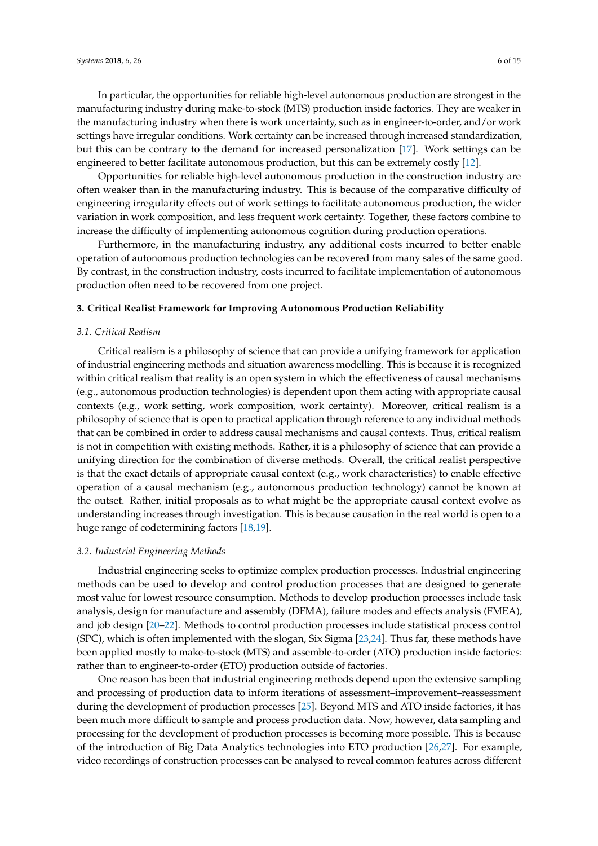In particular, the opportunities for reliable high-level autonomous production are strongest in the manufacturing industry during make-to-stock (MTS) production inside factories. They are weaker in the manufacturing industry when there is work uncertainty, such as in engineer-to-order, and/or work settings have irregular conditions. Work certainty can be increased through increased standardization, but this can be contrary to the demand for increased personalization [\[17\]](#page-12-13). Work settings can be engineered to better facilitate autonomous production, but this can be extremely costly [\[12\]](#page-12-8).

Opportunities for reliable high-level autonomous production in the construction industry are often weaker than in the manufacturing industry. This is because of the comparative difficulty of engineering irregularity effects out of work settings to facilitate autonomous production, the wider variation in work composition, and less frequent work certainty. Together, these factors combine to increase the difficulty of implementing autonomous cognition during production operations.

Furthermore, in the manufacturing industry, any additional costs incurred to better enable operation of autonomous production technologies can be recovered from many sales of the same good. By contrast, in the construction industry, costs incurred to facilitate implementation of autonomous production often need to be recovered from one project.

### **3. Critical Realist Framework for Improving Autonomous Production Reliability**

#### *3.1. Critical Realism*

Critical realism is a philosophy of science that can provide a unifying framework for application of industrial engineering methods and situation awareness modelling. This is because it is recognized within critical realism that reality is an open system in which the effectiveness of causal mechanisms (e.g., autonomous production technologies) is dependent upon them acting with appropriate causal contexts (e.g., work setting, work composition, work certainty). Moreover, critical realism is a philosophy of science that is open to practical application through reference to any individual methods that can be combined in order to address causal mechanisms and causal contexts. Thus, critical realism is not in competition with existing methods. Rather, it is a philosophy of science that can provide a unifying direction for the combination of diverse methods. Overall, the critical realist perspective is that the exact details of appropriate causal context (e.g., work characteristics) to enable effective operation of a causal mechanism (e.g., autonomous production technology) cannot be known at the outset. Rather, initial proposals as to what might be the appropriate causal context evolve as understanding increases through investigation. This is because causation in the real world is open to a huge range of codetermining factors [\[18,](#page-12-14)[19\]](#page-12-15).

#### *3.2. Industrial Engineering Methods*

Industrial engineering seeks to optimize complex production processes. Industrial engineering methods can be used to develop and control production processes that are designed to generate most value for lowest resource consumption. Methods to develop production processes include task analysis, design for manufacture and assembly (DFMA), failure modes and effects analysis (FMEA), and job design [\[20–](#page-12-16)[22\]](#page-12-17). Methods to control production processes include statistical process control (SPC), which is often implemented with the slogan, Six Sigma [\[23,](#page-12-18)[24\]](#page-12-19). Thus far, these methods have been applied mostly to make-to-stock (MTS) and assemble-to-order (ATO) production inside factories: rather than to engineer-to-order (ETO) production outside of factories.

One reason has been that industrial engineering methods depend upon the extensive sampling and processing of production data to inform iterations of assessment–improvement–reassessment during the development of production processes [\[25\]](#page-12-20). Beyond MTS and ATO inside factories, it has been much more difficult to sample and process production data. Now, however, data sampling and processing for the development of production processes is becoming more possible. This is because of the introduction of Big Data Analytics technologies into ETO production [\[26,](#page-12-21)[27\]](#page-12-22). For example, video recordings of construction processes can be analysed to reveal common features across different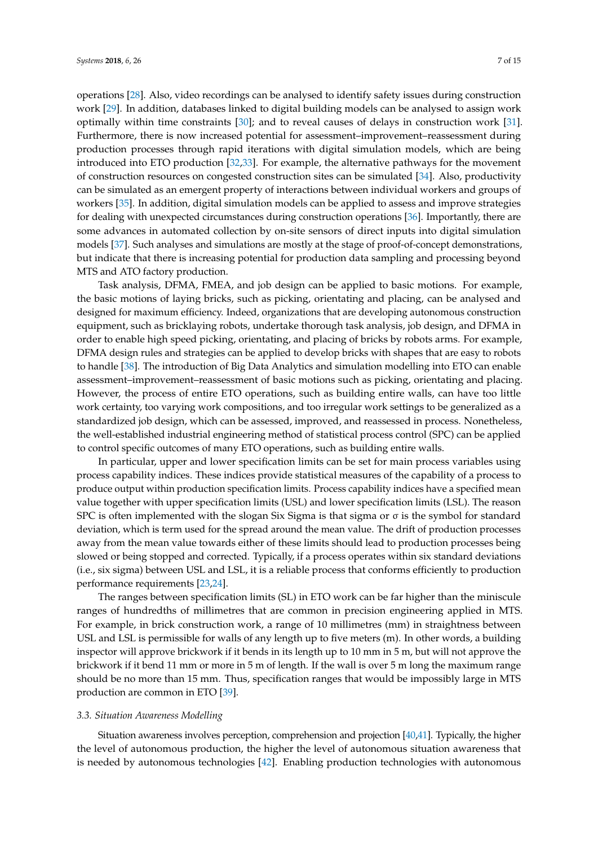operations [\[28\]](#page-12-23). Also, video recordings can be analysed to identify safety issues during construction work [\[29\]](#page-13-0). In addition, databases linked to digital building models can be analysed to assign work optimally within time constraints [\[30\]](#page-13-1); and to reveal causes of delays in construction work [\[31\]](#page-13-2). Furthermore, there is now increased potential for assessment–improvement–reassessment during production processes through rapid iterations with digital simulation models, which are being introduced into ETO production [\[32](#page-13-3)[,33\]](#page-13-4). For example, the alternative pathways for the movement of construction resources on congested construction sites can be simulated [\[34\]](#page-13-5). Also, productivity can be simulated as an emergent property of interactions between individual workers and groups of workers [\[35\]](#page-13-6). In addition, digital simulation models can be applied to assess and improve strategies for dealing with unexpected circumstances during construction operations [\[36\]](#page-13-7). Importantly, there are some advances in automated collection by on-site sensors of direct inputs into digital simulation models [\[37\]](#page-13-8). Such analyses and simulations are mostly at the stage of proof-of-concept demonstrations, but indicate that there is increasing potential for production data sampling and processing beyond MTS and ATO factory production.

Task analysis, DFMA, FMEA, and job design can be applied to basic motions. For example, the basic motions of laying bricks, such as picking, orientating and placing, can be analysed and designed for maximum efficiency. Indeed, organizations that are developing autonomous construction equipment, such as bricklaying robots, undertake thorough task analysis, job design, and DFMA in order to enable high speed picking, orientating, and placing of bricks by robots arms. For example, DFMA design rules and strategies can be applied to develop bricks with shapes that are easy to robots to handle [\[38\]](#page-13-9). The introduction of Big Data Analytics and simulation modelling into ETO can enable assessment–improvement–reassessment of basic motions such as picking, orientating and placing. However, the process of entire ETO operations, such as building entire walls, can have too little work certainty, too varying work compositions, and too irregular work settings to be generalized as a standardized job design, which can be assessed, improved, and reassessed in process. Nonetheless, the well-established industrial engineering method of statistical process control (SPC) can be applied to control specific outcomes of many ETO operations, such as building entire walls.

In particular, upper and lower specification limits can be set for main process variables using process capability indices. These indices provide statistical measures of the capability of a process to produce output within production specification limits. Process capability indices have a specified mean value together with upper specification limits (USL) and lower specification limits (LSL). The reason SPC is often implemented with the slogan Six Sigma is that sigma or σ is the symbol for standard deviation, which is term used for the spread around the mean value. The drift of production processes away from the mean value towards either of these limits should lead to production processes being slowed or being stopped and corrected. Typically, if a process operates within six standard deviations (i.e., six sigma) between USL and LSL, it is a reliable process that conforms efficiently to production performance requirements [\[23,](#page-12-18)[24\]](#page-12-19).

The ranges between specification limits (SL) in ETO work can be far higher than the miniscule ranges of hundredths of millimetres that are common in precision engineering applied in MTS. For example, in brick construction work, a range of 10 millimetres (mm) in straightness between USL and LSL is permissible for walls of any length up to five meters (m). In other words, a building inspector will approve brickwork if it bends in its length up to 10 mm in 5 m, but will not approve the brickwork if it bend 11 mm or more in 5 m of length. If the wall is over 5 m long the maximum range should be no more than 15 mm. Thus, specification ranges that would be impossibly large in MTS production are common in ETO [\[39\]](#page-13-10).

#### *3.3. Situation Awareness Modelling*

Situation awareness involves perception, comprehension and projection [\[40,](#page-13-11)[41\]](#page-13-12). Typically, the higher the level of autonomous production, the higher the level of autonomous situation awareness that is needed by autonomous technologies [\[42\]](#page-13-13). Enabling production technologies with autonomous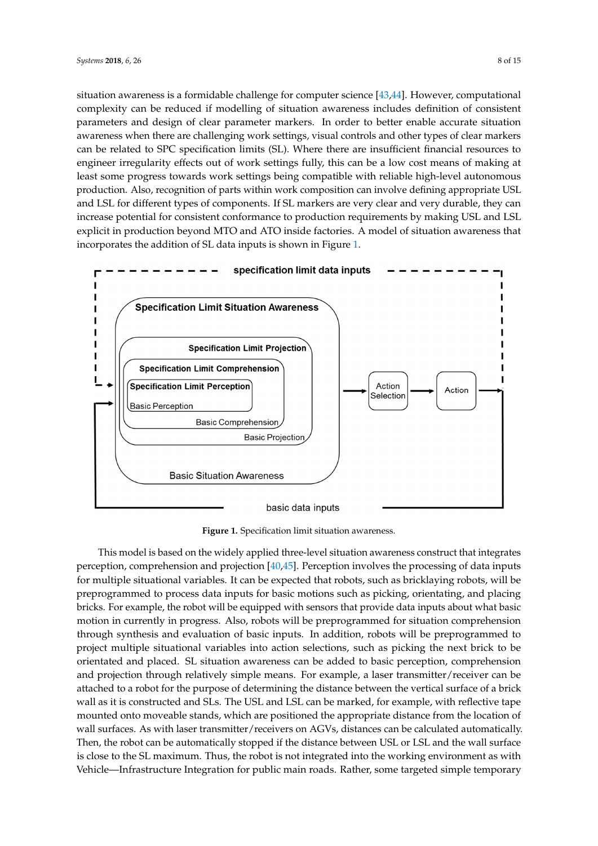situation awareness is a formidable challenge for computer science [\[43](#page-13-14)[,44\]](#page-13-15). However, computational complexity can be reduced if modelling of situation awareness includes definition of consistent parameters and design of clear parameter markers. In order to better enable accurate situation awareness when there are challenging work settings, visual controls and other types of clear markers can be related to SPC specification limits (SL). Where there are insufficient financial resources to engineer irregularity effects out of work settings fully, this can be a low cost means of making at least some progress towards work settings being compatible with reliable high-level autonomous production. Also, recognition of parts within work composition can involve defining appropriate USL and LSL for different types of components. If SL markers are very clear and very durable, they can increase potential for consistent conformance to production requirements by making USL and LSL explicit in production beyond MTO and ATO inside factories. A model of situation awareness that incorporates the addition of SL data inputs is shown in Figure 1. that incorporates the addition of SL data inputs is shown in F[igu](#page-7-0)re 1.

<span id="page-7-0"></span>

**Figure 1.** Specification limit situation awareness. **Figure 1.** Specification limit situation awareness.

This model is based on the widely applied three-level situation awareness construct that integrates This model perception, comprehension and projection [\[40](#page-13-11)[,45\]](#page-13-16). Perception involves the processing of data inputs  $\frac{1}{2}$ for multiple situational variables. It can be expected that robots, such as bricklaying robots, will be preprogrammed to process data inputs for basic motions such as picking, orientating, and placing<br> bricks. For example, the robot will be equipped with sensors that provide data inputs about what basic<br>... motion in currently in progress. Also, robots will be preprogrammed for situation comprehension through synthesis and evaluation of basic inputs. In addition, robots will be preprogrammed to project multiple situational variables into action selections, such as picking the next brick to be orientated and placed. SL situation awareness can be added to basic perception, comprehension and projection through relatively simple means. For example, a laser transmitter/receiver can be attached to a robot for the purpose of determining the distance between the vertical surface of a brick and the vertical surface of a brick wall as it is constructed and SLs. The USL and LSL can be marked, for example, with reflective tape mounted onto moveable stands, which are positioned the appropriate distance from the location of distance from the location of wall surfaces. As with laser transmitter/receivers on AGVs, distances wall surfaces. As with laser transmitter/receivers on AGVs, distances can be calculated automatically. Then, the robot can be automatically stopped if the distance between USL or LSL and the wall surface  $\overline{\phantom{a}}$ is close to the SL maximum. Thus, the robot is not integrated into the working environment as with  $\sim$ Vehicle—Infrastructure Integration for public main roads. Rather, some targeted simple temporary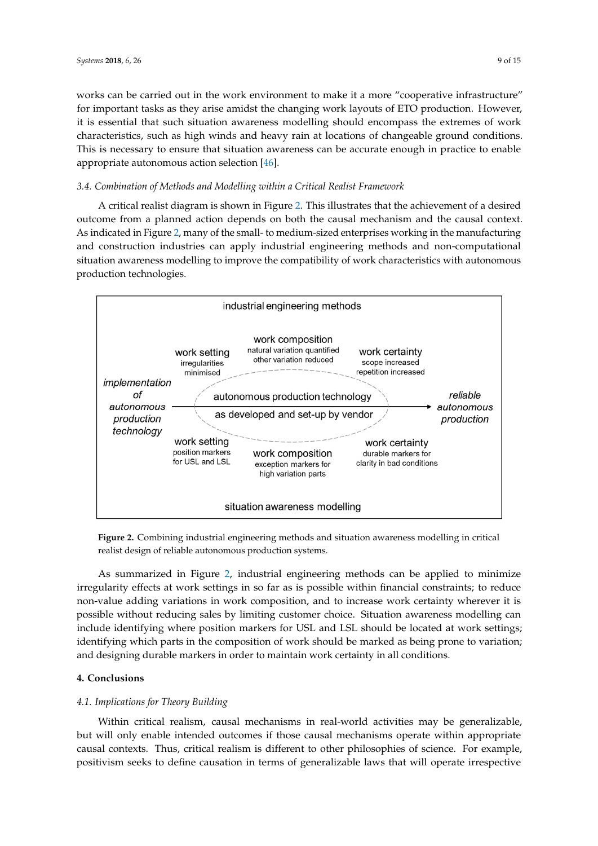works can be carried out in the work environment to make it a more "cooperative infrastructure" for important tasks as they arise amidst the changing work layouts of ETO production. However, it is essential that such situation awareness modelling should encompass the extremes of work characteristics, such as high winds and heavy rain at locations of changeable ground conditions. This is necessary to ensure that situation awareness can be accurate enough in practice to enable appropriate autonomous action selection [\[46\]](#page-13-17).

# *3.4. Combination of Methods and Modelling within a Critical Realist Framework 3.4. Combination of Methods and Modelling within a Critical Realist Framework*

A critical realist diagram is shown in Figure [2.](#page-8-0) This illustrates that the achievement of a desired A critical realist diagram is shown in Figure 2. This illustrates that the achievement of a desired outcome from a planned action depends on both the causal mechanism and the causal context. As indicated in Figure [2,](#page-8-0) many of the small- to medium-sized enterprises working in the manufacturing and construction industries can apply industrial engineering methods and non-computational and construction industries can apply industrial engineering methods and non-computational situation awareness modelling to improve the compatibility of work characteristics with autonomous situation awareness modelling to improve the compatibility of work characteristics with autonomous production technologies. production technologies.

<span id="page-8-0"></span>

**Figure 2.** Combining industrial engineering methods and situation awareness modelling in critical **Figure 2.** Combining industrial engineering methods and situation awareness modelling in critical realist design of reliable autonomous production systems. realist design of reliable autonomous production systems.

As summarized in Figure 2, industrial engineering methods can be applied to minimize As summarized in Figure [2,](#page-8-0) industrial engineering methods can be applied to minimize irregularity effects at work settings in so far as is possible within financial constraints; to reduce non-value adding variations in work composition, and to increase work certainty wherever it is possible without reducing sales by limiting customer choice. Situation awareness modelling can include identifying where position markers for USL and LSL should be located at work settings; identifying which parts in the composition of work should be marked as being prone to variation; and designing durable markers in order to maintain work certainty in all conditions.

# **4. Conclusions 4. Conclusions**

# *4.1. Implications for Theory Building 4.1. Implications for Theory Building*

Within critical realism, causal mechanisms in real-world activities may be generalizable, but will only enable intended outcomes if those causal mechanisms operate within appropriate causal contexts. Thus, critical realism is different to other philosophies of science. For example, positivism seeks to define causation in terms of generalizable laws that will operate irrespective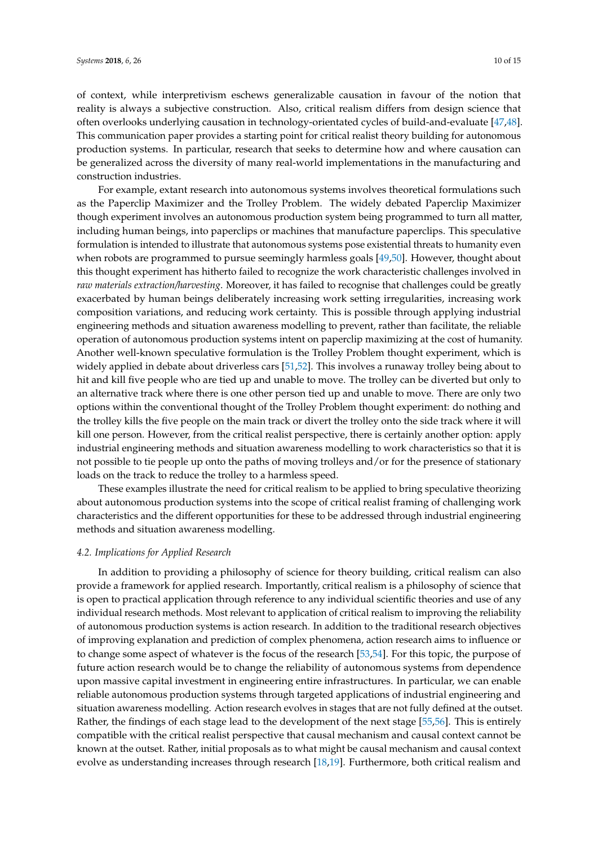of context, while interpretivism eschews generalizable causation in favour of the notion that reality is always a subjective construction. Also, critical realism differs from design science that often overlooks underlying causation in technology-orientated cycles of build-and-evaluate [\[47,](#page-13-18)[48\]](#page-13-19). This communication paper provides a starting point for critical realist theory building for autonomous production systems. In particular, research that seeks to determine how and where causation can be generalized across the diversity of many real-world implementations in the manufacturing and construction industries.

For example, extant research into autonomous systems involves theoretical formulations such as the Paperclip Maximizer and the Trolley Problem. The widely debated Paperclip Maximizer though experiment involves an autonomous production system being programmed to turn all matter, including human beings, into paperclips or machines that manufacture paperclips. This speculative formulation is intended to illustrate that autonomous systems pose existential threats to humanity even when robots are programmed to pursue seemingly harmless goals [\[49,](#page-13-20)[50\]](#page-13-21). However, thought about this thought experiment has hitherto failed to recognize the work characteristic challenges involved in *raw materials extraction/harvesting*. Moreover, it has failed to recognise that challenges could be greatly exacerbated by human beings deliberately increasing work setting irregularities, increasing work composition variations, and reducing work certainty. This is possible through applying industrial engineering methods and situation awareness modelling to prevent, rather than facilitate, the reliable operation of autonomous production systems intent on paperclip maximizing at the cost of humanity. Another well-known speculative formulation is the Trolley Problem thought experiment, which is widely applied in debate about driverless cars [\[51,](#page-13-22)[52\]](#page-13-23). This involves a runaway trolley being about to hit and kill five people who are tied up and unable to move. The trolley can be diverted but only to an alternative track where there is one other person tied up and unable to move. There are only two options within the conventional thought of the Trolley Problem thought experiment: do nothing and the trolley kills the five people on the main track or divert the trolley onto the side track where it will kill one person. However, from the critical realist perspective, there is certainly another option: apply industrial engineering methods and situation awareness modelling to work characteristics so that it is not possible to tie people up onto the paths of moving trolleys and/or for the presence of stationary loads on the track to reduce the trolley to a harmless speed.

These examples illustrate the need for critical realism to be applied to bring speculative theorizing about autonomous production systems into the scope of critical realist framing of challenging work characteristics and the different opportunities for these to be addressed through industrial engineering methods and situation awareness modelling.

# *4.2. Implications for Applied Research*

In addition to providing a philosophy of science for theory building, critical realism can also provide a framework for applied research. Importantly, critical realism is a philosophy of science that is open to practical application through reference to any individual scientific theories and use of any individual research methods. Most relevant to application of critical realism to improving the reliability of autonomous production systems is action research. In addition to the traditional research objectives of improving explanation and prediction of complex phenomena, action research aims to influence or to change some aspect of whatever is the focus of the research [\[53](#page-13-24)[,54\]](#page-14-0). For this topic, the purpose of future action research would be to change the reliability of autonomous systems from dependence upon massive capital investment in engineering entire infrastructures. In particular, we can enable reliable autonomous production systems through targeted applications of industrial engineering and situation awareness modelling. Action research evolves in stages that are not fully defined at the outset. Rather, the findings of each stage lead to the development of the next stage [\[55](#page-14-1)[,56\]](#page-14-2). This is entirely compatible with the critical realist perspective that causal mechanism and causal context cannot be known at the outset. Rather, initial proposals as to what might be causal mechanism and causal context evolve as understanding increases through research [\[18,](#page-12-14)[19\]](#page-12-15). Furthermore, both critical realism and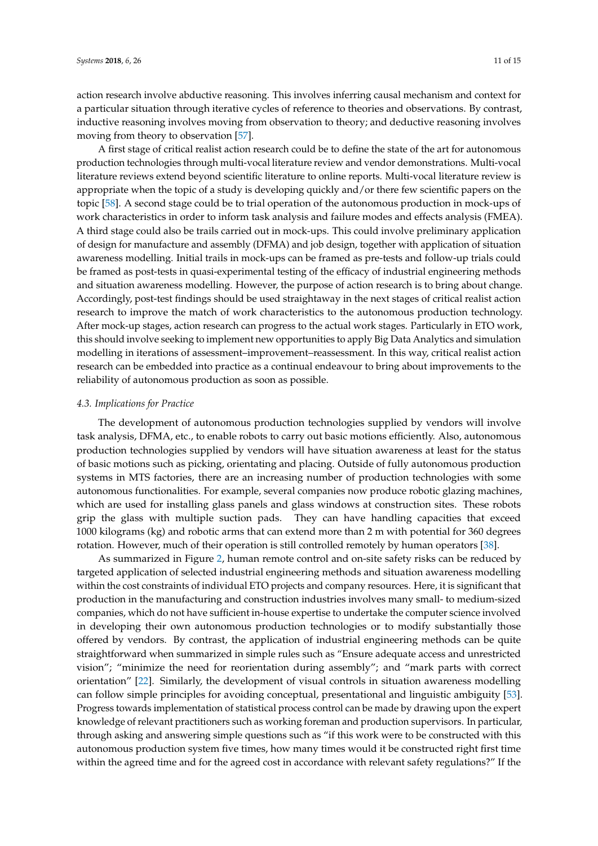action research involve abductive reasoning. This involves inferring causal mechanism and context for a particular situation through iterative cycles of reference to theories and observations. By contrast, inductive reasoning involves moving from observation to theory; and deductive reasoning involves moving from theory to observation [\[57\]](#page-14-3).

A first stage of critical realist action research could be to define the state of the art for autonomous production technologies through multi-vocal literature review and vendor demonstrations. Multi-vocal literature reviews extend beyond scientific literature to online reports. Multi-vocal literature review is appropriate when the topic of a study is developing quickly and/or there few scientific papers on the topic [\[58\]](#page-14-4). A second stage could be to trial operation of the autonomous production in mock-ups of work characteristics in order to inform task analysis and failure modes and effects analysis (FMEA). A third stage could also be trails carried out in mock-ups. This could involve preliminary application of design for manufacture and assembly (DFMA) and job design, together with application of situation awareness modelling. Initial trails in mock-ups can be framed as pre-tests and follow-up trials could be framed as post-tests in quasi-experimental testing of the efficacy of industrial engineering methods and situation awareness modelling. However, the purpose of action research is to bring about change. Accordingly, post-test findings should be used straightaway in the next stages of critical realist action research to improve the match of work characteristics to the autonomous production technology. After mock-up stages, action research can progress to the actual work stages. Particularly in ETO work, this should involve seeking to implement new opportunities to apply Big Data Analytics and simulation modelling in iterations of assessment–improvement–reassessment. In this way, critical realist action research can be embedded into practice as a continual endeavour to bring about improvements to the reliability of autonomous production as soon as possible.

# *4.3. Implications for Practice*

The development of autonomous production technologies supplied by vendors will involve task analysis, DFMA, etc., to enable robots to carry out basic motions efficiently. Also, autonomous production technologies supplied by vendors will have situation awareness at least for the status of basic motions such as picking, orientating and placing. Outside of fully autonomous production systems in MTS factories, there are an increasing number of production technologies with some autonomous functionalities. For example, several companies now produce robotic glazing machines, which are used for installing glass panels and glass windows at construction sites. These robots grip the glass with multiple suction pads. They can have handling capacities that exceed 1000 kilograms (kg) and robotic arms that can extend more than 2 m with potential for 360 degrees rotation. However, much of their operation is still controlled remotely by human operators [\[38\]](#page-13-9).

As summarized in Figure [2,](#page-8-0) human remote control and on-site safety risks can be reduced by targeted application of selected industrial engineering methods and situation awareness modelling within the cost constraints of individual ETO projects and company resources. Here, it is significant that production in the manufacturing and construction industries involves many small- to medium-sized companies, which do not have sufficient in-house expertise to undertake the computer science involved in developing their own autonomous production technologies or to modify substantially those offered by vendors. By contrast, the application of industrial engineering methods can be quite straightforward when summarized in simple rules such as "Ensure adequate access and unrestricted vision"; "minimize the need for reorientation during assembly"; and "mark parts with correct orientation" [\[22\]](#page-12-17). Similarly, the development of visual controls in situation awareness modelling can follow simple principles for avoiding conceptual, presentational and linguistic ambiguity [\[53\]](#page-13-24). Progress towards implementation of statistical process control can be made by drawing upon the expert knowledge of relevant practitioners such as working foreman and production supervisors. In particular, through asking and answering simple questions such as "if this work were to be constructed with this autonomous production system five times, how many times would it be constructed right first time within the agreed time and for the agreed cost in accordance with relevant safety regulations?" If the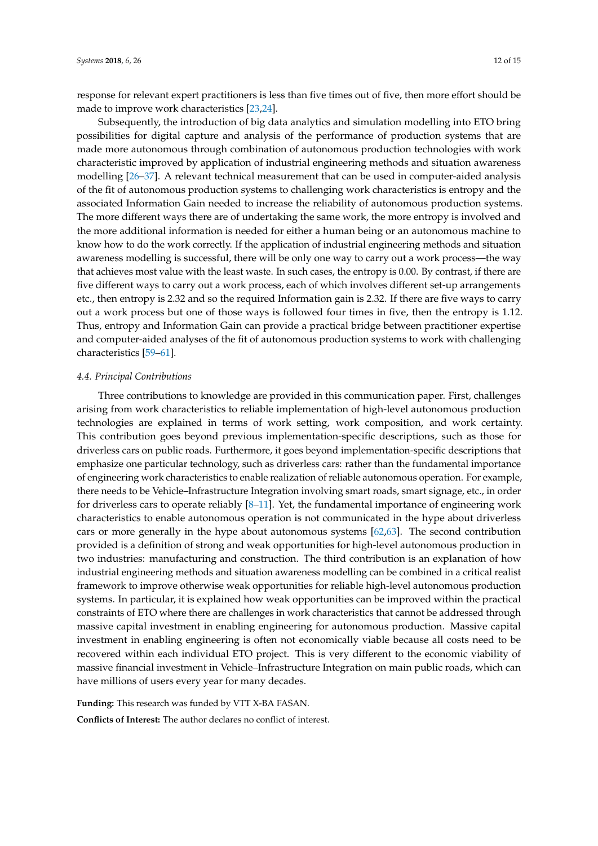response for relevant expert practitioners is less than five times out of five, then more effort should be made to improve work characteristics [\[23,](#page-12-18)[24\]](#page-12-19).

Subsequently, the introduction of big data analytics and simulation modelling into ETO bring possibilities for digital capture and analysis of the performance of production systems that are made more autonomous through combination of autonomous production technologies with work characteristic improved by application of industrial engineering methods and situation awareness modelling [\[26–](#page-12-21)[37\]](#page-13-8). A relevant technical measurement that can be used in computer-aided analysis of the fit of autonomous production systems to challenging work characteristics is entropy and the associated Information Gain needed to increase the reliability of autonomous production systems. The more different ways there are of undertaking the same work, the more entropy is involved and the more additional information is needed for either a human being or an autonomous machine to know how to do the work correctly. If the application of industrial engineering methods and situation awareness modelling is successful, there will be only one way to carry out a work process—the way that achieves most value with the least waste. In such cases, the entropy is 0.00. By contrast, if there are five different ways to carry out a work process, each of which involves different set-up arrangements etc., then entropy is 2.32 and so the required Information gain is 2.32. If there are five ways to carry out a work process but one of those ways is followed four times in five, then the entropy is 1.12. Thus, entropy and Information Gain can provide a practical bridge between practitioner expertise and computer-aided analyses of the fit of autonomous production systems to work with challenging characteristics [\[59–](#page-14-5)[61\]](#page-14-6).

#### *4.4. Principal Contributions*

Three contributions to knowledge are provided in this communication paper. First, challenges arising from work characteristics to reliable implementation of high-level autonomous production technologies are explained in terms of work setting, work composition, and work certainty. This contribution goes beyond previous implementation-specific descriptions, such as those for driverless cars on public roads. Furthermore, it goes beyond implementation-specific descriptions that emphasize one particular technology, such as driverless cars: rather than the fundamental importance of engineering work characteristics to enable realization of reliable autonomous operation. For example, there needs to be Vehicle–Infrastructure Integration involving smart roads, smart signage, etc., in order for driverless cars to operate reliably  $[8-11]$  $[8-11]$ . Yet, the fundamental importance of engineering work characteristics to enable autonomous operation is not communicated in the hype about driverless cars or more generally in the hype about autonomous systems [\[62](#page-14-7)[,63\]](#page-14-8). The second contribution provided is a definition of strong and weak opportunities for high-level autonomous production in two industries: manufacturing and construction. The third contribution is an explanation of how industrial engineering methods and situation awareness modelling can be combined in a critical realist framework to improve otherwise weak opportunities for reliable high-level autonomous production systems. In particular, it is explained how weak opportunities can be improved within the practical constraints of ETO where there are challenges in work characteristics that cannot be addressed through massive capital investment in enabling engineering for autonomous production. Massive capital investment in enabling engineering is often not economically viable because all costs need to be recovered within each individual ETO project. This is very different to the economic viability of massive financial investment in Vehicle–Infrastructure Integration on main public roads, which can have millions of users every year for many decades.

**Funding:** This research was funded by VTT X-BA FASAN.

**Conflicts of Interest:** The author declares no conflict of interest.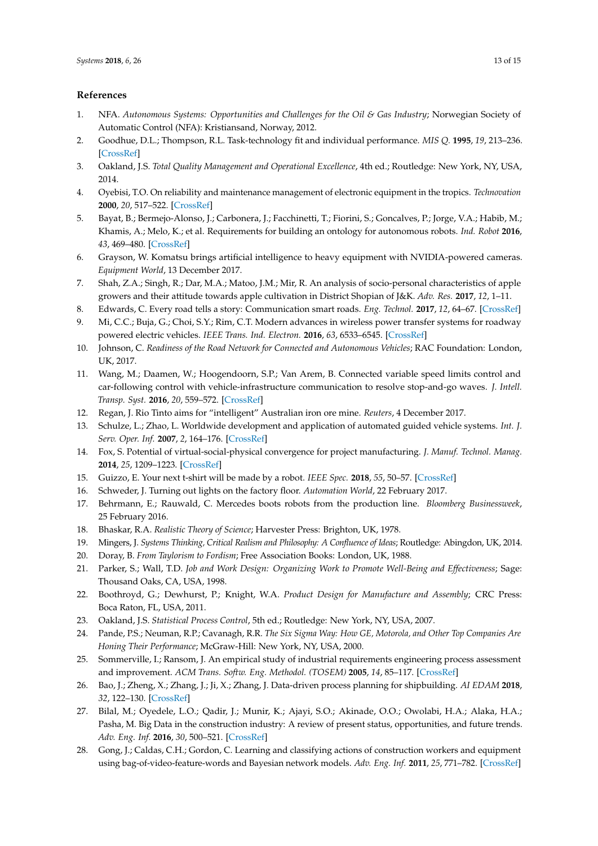# **References**

- <span id="page-12-0"></span>1. NFA. *Autonomous Systems: Opportunities and Challenges for the Oil & Gas Industry*; Norwegian Society of Automatic Control (NFA): Kristiansand, Norway, 2012.
- <span id="page-12-1"></span>2. Goodhue, D.L.; Thompson, R.L. Task-technology fit and individual performance. *MIS Q.* **1995**, *19*, 213–236. [\[CrossRef\]](http://dx.doi.org/10.2307/249689)
- 3. Oakland, J.S. *Total Quality Management and Operational Excellence*, 4th ed.; Routledge: New York, NY, USA, 2014.
- <span id="page-12-2"></span>4. Oyebisi, T.O. On reliability and maintenance management of electronic equipment in the tropics. *Technovation* **2000**, *20*, 517–522. [\[CrossRef\]](http://dx.doi.org/10.1016/S0166-4972(99)00166-2)
- <span id="page-12-3"></span>5. Bayat, B.; Bermejo-Alonso, J.; Carbonera, J.; Facchinetti, T.; Fiorini, S.; Goncalves, P.; Jorge, V.A.; Habib, M.; Khamis, A.; Melo, K.; et al. Requirements for building an ontology for autonomous robots. *Ind. Robot* **2016**, *43*, 469–480. [\[CrossRef\]](http://dx.doi.org/10.1108/IR-02-2016-0059)
- <span id="page-12-4"></span>6. Grayson, W. Komatsu brings artificial intelligence to heavy equipment with NVIDIA-powered cameras. *Equipment World*, 13 December 2017.
- <span id="page-12-5"></span>7. Shah, Z.A.; Singh, R.; Dar, M.A.; Matoo, J.M.; Mir, R. An analysis of socio-personal characteristics of apple growers and their attitude towards apple cultivation in District Shopian of J&K. *Adv. Res.* **2017**, *12*, 1–11.
- <span id="page-12-6"></span>8. Edwards, C. Every road tells a story: Communication smart roads. *Eng. Technol.* **2017**, *12*, 64–67. [\[CrossRef\]](http://dx.doi.org/10.1049/et.2017.0208)
- 9. Mi, C.C.; Buja, G.; Choi, S.Y.; Rim, C.T. Modern advances in wireless power transfer systems for roadway powered electric vehicles. *IEEE Trans. Ind. Electron.* **2016**, *63*, 6533–6545. [\[CrossRef\]](http://dx.doi.org/10.1109/TIE.2016.2574993)
- 10. Johnson, C. *Readiness of the Road Network for Connected and Autonomous Vehicles*; RAC Foundation: London, UK, 2017.
- <span id="page-12-7"></span>11. Wang, M.; Daamen, W.; Hoogendoorn, S.P.; Van Arem, B. Connected variable speed limits control and car-following control with vehicle-infrastructure communication to resolve stop-and-go waves. *J. Intell. Transp. Syst.* **2016**, *20*, 559–572. [\[CrossRef\]](http://dx.doi.org/10.1080/15472450.2016.1157022)
- <span id="page-12-8"></span>12. Regan, J. Rio Tinto aims for "intelligent" Australian iron ore mine. *Reuters*, 4 December 2017.
- <span id="page-12-9"></span>13. Schulze, L.; Zhao, L. Worldwide development and application of automated guided vehicle systems. *Int. J. Serv. Oper. Inf.* **2007**, *2*, 164–176. [\[CrossRef\]](http://dx.doi.org/10.1504/IJSOI.2007.014518)
- <span id="page-12-10"></span>14. Fox, S. Potential of virtual-social-physical convergence for project manufacturing. *J. Manuf. Technol. Manag.* **2014**, *25*, 1209–1223. [\[CrossRef\]](http://dx.doi.org/10.1108/JMTM-01-2013-0008)
- <span id="page-12-11"></span>15. Guizzo, E. Your next t-shirt will be made by a robot. *IEEE Spec.* **2018**, *55*, 50–57. [\[CrossRef\]](http://dx.doi.org/10.1109/MSPEC.2018.8241738)
- <span id="page-12-12"></span>16. Schweder, J. Turning out lights on the factory floor. *Automation World*, 22 February 2017.
- <span id="page-12-13"></span>17. Behrmann, E.; Rauwald, C. Mercedes boots robots from the production line. *Bloomberg Businessweek*, 25 February 2016.
- <span id="page-12-14"></span>18. Bhaskar, R.A. *Realistic Theory of Science*; Harvester Press: Brighton, UK, 1978.
- <span id="page-12-15"></span>19. Mingers, J. *Systems Thinking, Critical Realism and Philosophy: A Confluence of Ideas*; Routledge: Abingdon, UK, 2014.
- <span id="page-12-16"></span>20. Doray, B. *From Taylorism to Fordism*; Free Association Books: London, UK, 1988.
- 21. Parker, S.; Wall, T.D. *Job and Work Design: Organizing Work to Promote Well-Being and Effectiveness*; Sage: Thousand Oaks, CA, USA, 1998.
- <span id="page-12-17"></span>22. Boothroyd, G.; Dewhurst, P.; Knight, W.A. *Product Design for Manufacture and Assembly*; CRC Press: Boca Raton, FL, USA, 2011.
- <span id="page-12-18"></span>23. Oakland, J.S. *Statistical Process Control*, 5th ed.; Routledge: New York, NY, USA, 2007.
- <span id="page-12-19"></span>24. Pande, P.S.; Neuman, R.P.; Cavanagh, R.R. *The Six Sigma Way: How GE, Motorola, and Other Top Companies Are Honing Their Performance*; McGraw-Hill: New York, NY, USA, 2000.
- <span id="page-12-20"></span>25. Sommerville, I.; Ransom, J. An empirical study of industrial requirements engineering process assessment and improvement. *ACM Trans. Softw. Eng. Methodol. (TOSEM)* **2005**, *14*, 85–117. [\[CrossRef\]](http://dx.doi.org/10.1145/1044834.1044837)
- <span id="page-12-21"></span>26. Bao, J.; Zheng, X.; Zhang, J.; Ji, X.; Zhang, J. Data-driven process planning for shipbuilding. *AI EDAM* **2018**, *32*, 122–130. [\[CrossRef\]](http://dx.doi.org/10.1017/S089006041600055X)
- <span id="page-12-22"></span>27. Bilal, M.; Oyedele, L.O.; Qadir, J.; Munir, K.; Ajayi, S.O.; Akinade, O.O.; Owolabi, H.A.; Alaka, H.A.; Pasha, M. Big Data in the construction industry: A review of present status, opportunities, and future trends. *Adv. Eng. Inf.* **2016**, *30*, 500–521. [\[CrossRef\]](http://dx.doi.org/10.1016/j.aei.2016.07.001)
- <span id="page-12-23"></span>28. Gong, J.; Caldas, C.H.; Gordon, C. Learning and classifying actions of construction workers and equipment using bag-of-video-feature-words and Bayesian network models. *Adv. Eng. Inf.* **2011**, *25*, 771–782. [\[CrossRef\]](http://dx.doi.org/10.1016/j.aei.2011.06.002)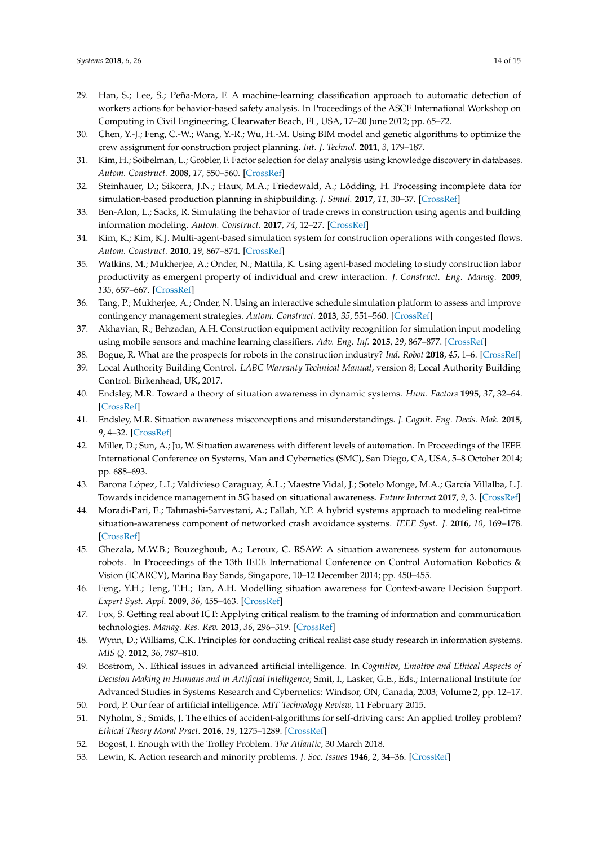- <span id="page-13-0"></span>29. Han, S.; Lee, S.; Peña-Mora, F. A machine-learning classification approach to automatic detection of workers actions for behavior-based safety analysis. In Proceedings of the ASCE International Workshop on Computing in Civil Engineering, Clearwater Beach, FL, USA, 17–20 June 2012; pp. 65–72.
- <span id="page-13-1"></span>30. Chen, Y.-J.; Feng, C.-W.; Wang, Y.-R.; Wu, H.-M. Using BIM model and genetic algorithms to optimize the crew assignment for construction project planning. *Int. J. Technol.* **2011**, *3*, 179–187.
- <span id="page-13-2"></span>31. Kim, H.; Soibelman, L.; Grobler, F. Factor selection for delay analysis using knowledge discovery in databases. *Autom. Construct.* **2008**, *17*, 550–560. [\[CrossRef\]](http://dx.doi.org/10.1016/j.autcon.2007.10.001)
- <span id="page-13-3"></span>32. Steinhauer, D.; Sikorra, J.N.; Haux, M.A.; Friedewald, A.; Lödding, H. Processing incomplete data for simulation-based production planning in shipbuilding. *J. Simul.* **2017**, *11*, 30–37. [\[CrossRef\]](http://dx.doi.org/10.1057/s41273-016-0048-3)
- <span id="page-13-4"></span>33. Ben-Alon, L.; Sacks, R. Simulating the behavior of trade crews in construction using agents and building information modeling. *Autom. Construct.* **2017**, *74*, 12–27. [\[CrossRef\]](http://dx.doi.org/10.1016/j.autcon.2016.11.002)
- <span id="page-13-5"></span>34. Kim, K.; Kim, K.J. Multi-agent-based simulation system for construction operations with congested flows. *Autom. Construct.* **2010**, *19*, 867–874. [\[CrossRef\]](http://dx.doi.org/10.1016/j.autcon.2010.05.005)
- <span id="page-13-6"></span>35. Watkins, M.; Mukherjee, A.; Onder, N.; Mattila, K. Using agent-based modeling to study construction labor productivity as emergent property of individual and crew interaction. *J. Construct. Eng. Manag.* **2009**, *135*, 657–667. [\[CrossRef\]](http://dx.doi.org/10.1061/(ASCE)CO.1943-7862.0000022)
- <span id="page-13-7"></span>36. Tang, P.; Mukherjee, A.; Onder, N. Using an interactive schedule simulation platform to assess and improve contingency management strategies. *Autom. Construct.* **2013**, *35*, 551–560. [\[CrossRef\]](http://dx.doi.org/10.1016/j.autcon.2013.07.005)
- <span id="page-13-8"></span>37. Akhavian, R.; Behzadan, A.H. Construction equipment activity recognition for simulation input modeling using mobile sensors and machine learning classifiers. *Adv. Eng. Inf.* **2015**, *29*, 867–877. [\[CrossRef\]](http://dx.doi.org/10.1016/j.aei.2015.03.001)
- <span id="page-13-9"></span>38. Bogue, R. What are the prospects for robots in the construction industry? *Ind. Robot* **2018**, *45*, 1–6. [\[CrossRef\]](http://dx.doi.org/10.1108/IR-11-2017-0194)
- <span id="page-13-10"></span>39. Local Authority Building Control. *LABC Warranty Technical Manual*, version 8; Local Authority Building Control: Birkenhead, UK, 2017.
- <span id="page-13-11"></span>40. Endsley, M.R. Toward a theory of situation awareness in dynamic systems. *Hum. Factors* **1995**, *37*, 32–64. [\[CrossRef\]](http://dx.doi.org/10.1518/001872095779049543)
- <span id="page-13-12"></span>41. Endsley, M.R. Situation awareness misconceptions and misunderstandings. *J. Cognit. Eng. Decis. Mak.* **2015**, *9*, 4–32. [\[CrossRef\]](http://dx.doi.org/10.1177/1555343415572631)
- <span id="page-13-13"></span>42. Miller, D.; Sun, A.; Ju, W. Situation awareness with different levels of automation. In Proceedings of the IEEE International Conference on Systems, Man and Cybernetics (SMC), San Diego, CA, USA, 5–8 October 2014; pp. 688–693.
- <span id="page-13-14"></span>43. Barona López, L.I.; Valdivieso Caraguay, Á.L.; Maestre Vidal, J.; Sotelo Monge, M.A.; García Villalba, L.J. Towards incidence management in 5G based on situational awareness. *Future Internet* **2017**, *9*, 3. [\[CrossRef\]](http://dx.doi.org/10.3390/fi9010003)
- <span id="page-13-15"></span>44. Moradi-Pari, E.; Tahmasbi-Sarvestani, A.; Fallah, Y.P. A hybrid systems approach to modeling real-time situation-awareness component of networked crash avoidance systems. *IEEE Syst. J.* **2016**, *10*, 169–178. [\[CrossRef\]](http://dx.doi.org/10.1109/JSYST.2014.2312172)
- <span id="page-13-16"></span>45. Ghezala, M.W.B.; Bouzeghoub, A.; Leroux, C. RSAW: A situation awareness system for autonomous robots. In Proceedings of the 13th IEEE International Conference on Control Automation Robotics & Vision (ICARCV), Marina Bay Sands, Singapore, 10–12 December 2014; pp. 450–455.
- <span id="page-13-17"></span>46. Feng, Y.H.; Teng, T.H.; Tan, A.H. Modelling situation awareness for Context-aware Decision Support. *Expert Syst. Appl.* **2009**, *36*, 455–463. [\[CrossRef\]](http://dx.doi.org/10.1016/j.eswa.2007.09.061)
- <span id="page-13-18"></span>47. Fox, S. Getting real about ICT: Applying critical realism to the framing of information and communication technologies. *Manag. Res. Rev.* **2013**, *36*, 296–319. [\[CrossRef\]](http://dx.doi.org/10.1108/01409171311306427)
- <span id="page-13-19"></span>48. Wynn, D.; Williams, C.K. Principles for conducting critical realist case study research in information systems. *MIS Q.* **2012**, *36*, 787–810.
- <span id="page-13-20"></span>49. Bostrom, N. Ethical issues in advanced artificial intelligence. In *Cognitive, Emotive and Ethical Aspects of Decision Making in Humans and in Artificial Intelligence*; Smit, I., Lasker, G.E., Eds.; International Institute for Advanced Studies in Systems Research and Cybernetics: Windsor, ON, Canada, 2003; Volume 2, pp. 12–17.
- <span id="page-13-21"></span>50. Ford, P. Our fear of artificial intelligence. *MIT Technology Review*, 11 February 2015.
- <span id="page-13-22"></span>51. Nyholm, S.; Smids, J. The ethics of accident-algorithms for self-driving cars: An applied trolley problem? *Ethical Theory Moral Pract.* **2016**, *19*, 1275–1289. [\[CrossRef\]](http://dx.doi.org/10.1007/s10677-016-9745-2)
- <span id="page-13-23"></span>52. Bogost, I. Enough with the Trolley Problem. *The Atlantic*, 30 March 2018.
- <span id="page-13-24"></span>53. Lewin, K. Action research and minority problems. *J. Soc. Issues* **1946**, *2*, 34–36. [\[CrossRef\]](http://dx.doi.org/10.1111/j.1540-4560.1946.tb02295.x)